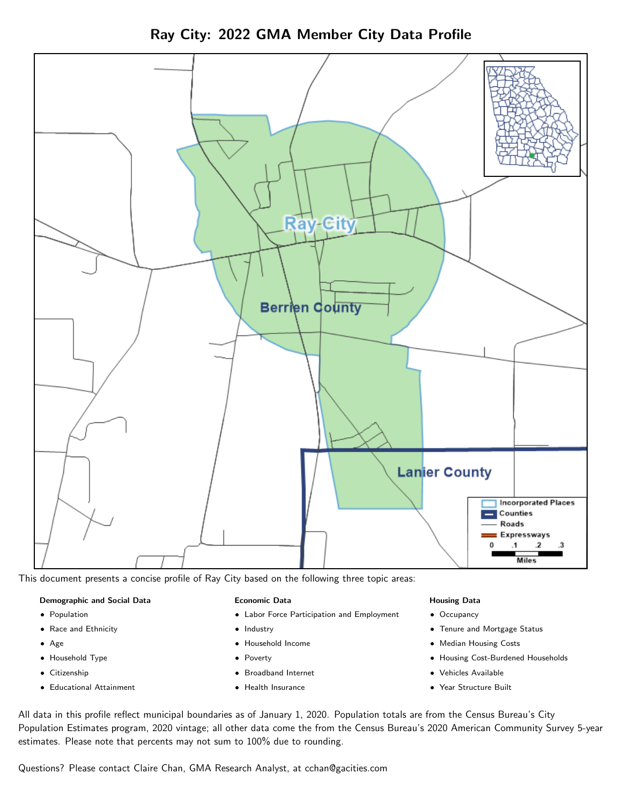Ray City: 2022 GMA Member City Data Profile



This document presents a concise profile of Ray City based on the following three topic areas:

#### Demographic and Social Data

- **•** Population
- Race and Ethnicity
- Age
- Household Type
- **Citizenship**
- Educational Attainment

#### Economic Data

- Labor Force Participation and Employment
- Industry
- Household Income
- Poverty
- Broadband Internet
- Health Insurance

#### Housing Data

- Occupancy
- Tenure and Mortgage Status
- Median Housing Costs
- Housing Cost-Burdened Households
- Vehicles Available
- Year Structure Built

All data in this profile reflect municipal boundaries as of January 1, 2020. Population totals are from the Census Bureau's City Population Estimates program, 2020 vintage; all other data come the from the Census Bureau's 2020 American Community Survey 5-year estimates. Please note that percents may not sum to 100% due to rounding.

Questions? Please contact Claire Chan, GMA Research Analyst, at [cchan@gacities.com.](mailto:cchan@gacities.com)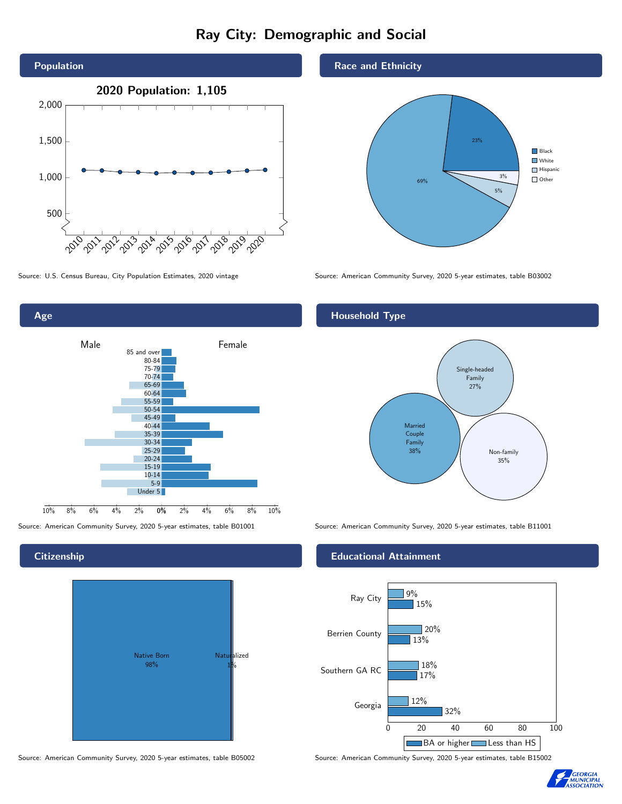# Ray City: Demographic and Social



Source: U.S. Census Bureau, City Population Estimates, 2020 vintage Source: American Community Survey, 2020 5-year estimates, table B03002



#### **Citizenship**



Source: American Community Survey, 2020 5-year estimates, table B05002 Source: American Community Survey, 2020 5-year estimates, table B15002

Race and Ethnicity



#### Household Type



Source: American Community Survey, 2020 5-year estimates, table B01001 Source: American Community Survey, 2020 5-year estimates, table B11001

#### Educational Attainment



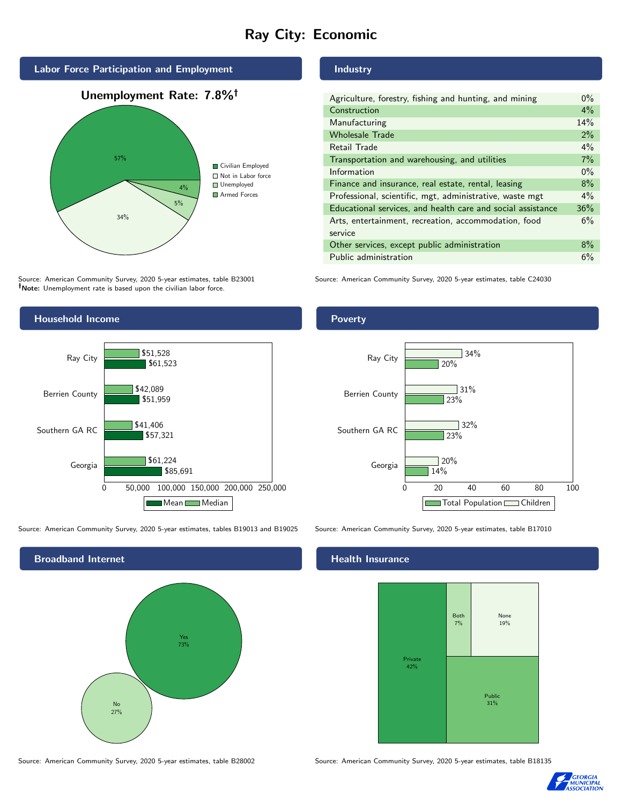# Ray City: Economic



Source: American Community Survey, 2020 5-year estimates, table B23001 Note: Unemployment rate is based upon the civilian labor force.

# Industry

| Agriculture, forestry, fishing and hunting, and mining      | $0\%$ |
|-------------------------------------------------------------|-------|
| Construction                                                | 4%    |
| Manufacturing                                               | 14%   |
| <b>Wholesale Trade</b>                                      | $2\%$ |
| Retail Trade                                                | 4%    |
| Transportation and warehousing, and utilities               | 7%    |
| Information                                                 | $0\%$ |
| Finance and insurance, real estate, rental, leasing         | 8%    |
| Professional, scientific, mgt, administrative, waste mgt    | $4\%$ |
| Educational services, and health care and social assistance | 36%   |
| Arts, entertainment, recreation, accommodation, food        | 6%    |
| service                                                     |       |
| Other services, except public administration                | 8%    |
| Public administration                                       | 6%    |

Source: American Community Survey, 2020 5-year estimates, table C24030



Source: American Community Survey, 2020 5-year estimates, tables B19013 and B19025 Source: American Community Survey, 2020 5-year estimates, table B17010



#### Health Insurance



Source: American Community Survey, 2020 5-year estimates, table B28002 Source: American Community Survey, 2020 5-year estimates, table B18135



#### Poverty